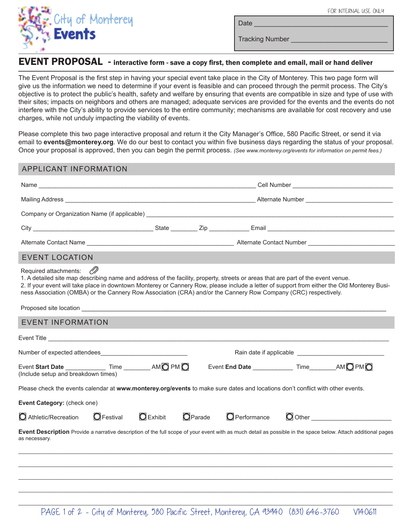Date \_\_\_\_\_\_\_\_\_\_\_\_\_\_\_\_\_\_\_\_\_\_\_\_\_\_\_\_\_\_\_\_\_\_\_\_



Tracking Number

## EVENT PROPOSAL - interactive form - save a copy first, then complete and email, mail or hand deliver

The Event Proposal is the first step in having your special event take place in the City of Monterey. This two page form will give us the information we need to determine if your event is feasible and can proceed through the permit process. The City's objective is to protect the public's health, safety and welfare by ensuring that events are compatible in size and type of use with their sites; impacts on neighbors and others are managed; adequate services are provided for the events and the events do not interfere with the City's ability to provide services to the entire community; mechanisms are available for cost recovery and use charges, while not unduly impacting the viability of events.

Please complete this two page interactive proposal and return it the City Manager's Office, 580 Pacific Street, or send it via email to **events@monterey.org**. We do our best to contact you within five business days regarding the status of your proposal. Once your proposal is approved, then you can begin the permit process. *(See www.monterey.org/events for information on permit fees.)*

## APPLICANT INFORMATION

| <b>EVENT LOCATION</b>                                                                                                                                                                                                                                                                                                                                                                                                              |  |                    |         |                                                       |  |                                          |  |
|------------------------------------------------------------------------------------------------------------------------------------------------------------------------------------------------------------------------------------------------------------------------------------------------------------------------------------------------------------------------------------------------------------------------------------|--|--------------------|---------|-------------------------------------------------------|--|------------------------------------------|--|
| OP)<br>Required attachments:<br>1. A detailed site map describing name and address of the facility, property, streets or areas that are part of the event venue.<br>2. If your event will take place in downtown Monterey or Cannery Row, please include a letter of support from either the Old Monterey Busi-<br>ness Association (OMBA) or the Cannery Row Association (CRA) and/or the Cannery Row Company (CRC) respectively. |  |                    |         |                                                       |  |                                          |  |
| <b>EVENT INFORMATION</b>                                                                                                                                                                                                                                                                                                                                                                                                           |  |                    |         |                                                       |  |                                          |  |
| Event Title <b>Exercise Contract Contract Contract Contract Contract Contract Contract Contract Contract Contract Contract Contract Contract Contract Contract Contract Contract Contract Contract Contract Contract Contract Co</b>                                                                                                                                                                                               |  |                    |         |                                                       |  |                                          |  |
|                                                                                                                                                                                                                                                                                                                                                                                                                                    |  |                    |         |                                                       |  |                                          |  |
| Event Start Date $\qquad \qquad$ Time $\qquad \qquad$ AM $\bigcirc$ PM $\bigcirc$<br>(Include setup and breakdown times)                                                                                                                                                                                                                                                                                                           |  |                    |         | Event End Date ______________ Time ________ AM O PM O |  |                                          |  |
| Please check the events calendar at www.monterey.org/events to make sure dates and locations don't conflict with other events.                                                                                                                                                                                                                                                                                                     |  |                    |         |                                                       |  |                                          |  |
| Event Category: (check one)                                                                                                                                                                                                                                                                                                                                                                                                        |  |                    |         |                                                       |  |                                          |  |
| $\bigcirc$ Athletic/Recreation $\bigcirc$ Festival                                                                                                                                                                                                                                                                                                                                                                                 |  | $\bigcirc$ Exhibit | OParade | $\bigcirc$ Performance                                |  | $\bigcirc$ Other contracts on $\bigcirc$ |  |
| Event Description Provide a narrative description of the full scope of your event with as much detail as possible in the space below. Attach additional pages<br>as necessary.                                                                                                                                                                                                                                                     |  |                    |         |                                                       |  |                                          |  |

\_\_\_\_\_\_\_\_\_\_\_\_\_\_\_\_\_\_\_\_\_\_\_\_\_\_\_\_\_\_\_\_\_\_\_\_\_\_\_\_\_\_\_\_\_\_\_\_\_\_\_\_\_\_\_\_\_\_\_\_\_\_\_\_\_\_\_\_\_\_\_\_\_\_\_\_\_\_\_\_\_\_\_\_\_\_\_\_\_\_\_\_\_\_\_\_\_\_\_\_\_\_\_\_\_\_\_\_\_\_\_\_\_\_\_\_\_\_\_\_\_\_\_\_\_\_ \_\_\_\_\_\_\_\_\_\_\_\_\_\_\_\_\_\_\_\_\_\_\_\_\_\_\_\_\_\_\_\_\_\_\_\_\_\_\_\_\_\_\_\_\_\_\_\_\_\_\_\_\_\_\_\_\_\_\_\_\_\_\_\_\_\_\_\_\_\_\_\_\_\_\_\_\_\_\_\_\_\_\_\_\_\_\_\_\_\_\_\_\_\_\_\_\_\_\_\_\_\_\_\_\_\_\_\_\_\_\_\_\_\_\_\_\_\_\_\_\_\_\_\_\_\_